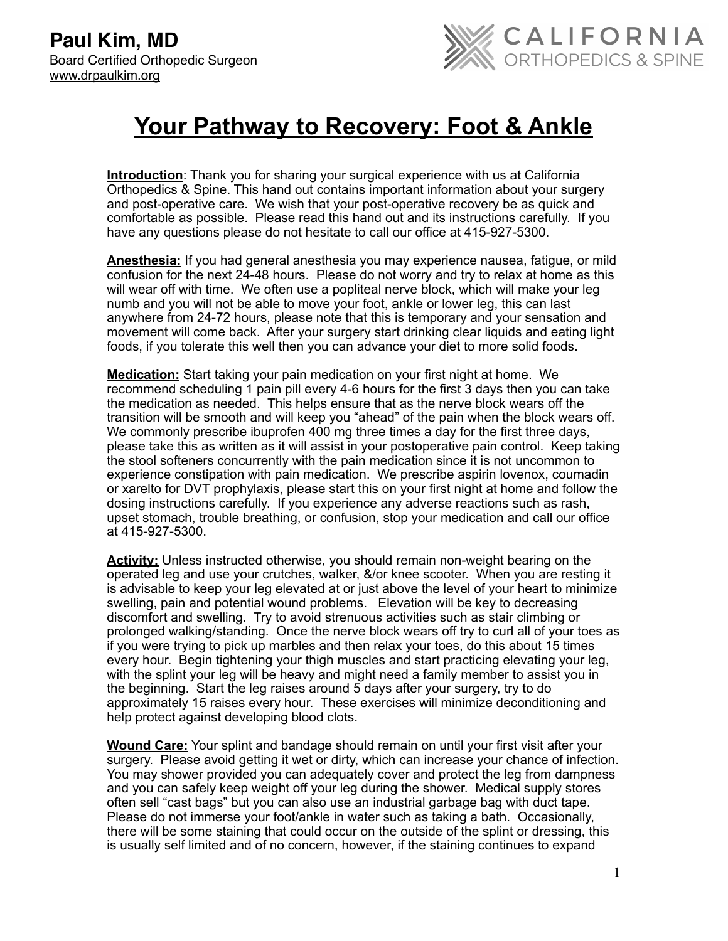

## **Your Pathway to Recovery: Foot & Ankle**

**Introduction**: Thank you for sharing your surgical experience with us at California Orthopedics & Spine. This hand out contains important information about your surgery and post-operative care. We wish that your post-operative recovery be as quick and comfortable as possible. Please read this hand out and its instructions carefully. If you have any questions please do not hesitate to call our office at 415-927-5300.

**Anesthesia:** If you had general anesthesia you may experience nausea, fatigue, or mild confusion for the next 24-48 hours. Please do not worry and try to relax at home as this will wear off with time. We often use a popliteal nerve block, which will make your leg numb and you will not be able to move your foot, ankle or lower leg, this can last anywhere from 24-72 hours, please note that this is temporary and your sensation and movement will come back. After your surgery start drinking clear liquids and eating light foods, if you tolerate this well then you can advance your diet to more solid foods.

**Medication:** Start taking your pain medication on your first night at home. We recommend scheduling 1 pain pill every 4-6 hours for the first 3 days then you can take the medication as needed. This helps ensure that as the nerve block wears off the transition will be smooth and will keep you "ahead" of the pain when the block wears off. We commonly prescribe ibuprofen 400 mg three times a day for the first three days, please take this as written as it will assist in your postoperative pain control. Keep taking the stool softeners concurrently with the pain medication since it is not uncommon to experience constipation with pain medication. We prescribe aspirin lovenox, coumadin or xarelto for DVT prophylaxis, please start this on your first night at home and follow the dosing instructions carefully. If you experience any adverse reactions such as rash, upset stomach, trouble breathing, or confusion, stop your medication and call our office at 415-927-5300.

**Activity:** Unless instructed otherwise, you should remain non-weight bearing on the operated leg and use your crutches, walker, &/or knee scooter. When you are resting it is advisable to keep your leg elevated at or just above the level of your heart to minimize swelling, pain and potential wound problems. Elevation will be key to decreasing discomfort and swelling. Try to avoid strenuous activities such as stair climbing or prolonged walking/standing. Once the nerve block wears off try to curl all of your toes as if you were trying to pick up marbles and then relax your toes, do this about 15 times every hour. Begin tightening your thigh muscles and start practicing elevating your leg, with the splint your leg will be heavy and might need a family member to assist you in the beginning. Start the leg raises around 5 days after your surgery, try to do approximately 15 raises every hour. These exercises will minimize deconditioning and help protect against developing blood clots.

**Wound Care:** Your splint and bandage should remain on until your first visit after your surgery. Please avoid getting it wet or dirty, which can increase your chance of infection. You may shower provided you can adequately cover and protect the leg from dampness and you can safely keep weight off your leg during the shower. Medical supply stores often sell "cast bags" but you can also use an industrial garbage bag with duct tape. Please do not immerse your foot/ankle in water such as taking a bath. Occasionally, there will be some staining that could occur on the outside of the splint or dressing, this is usually self limited and of no concern, however, if the staining continues to expand